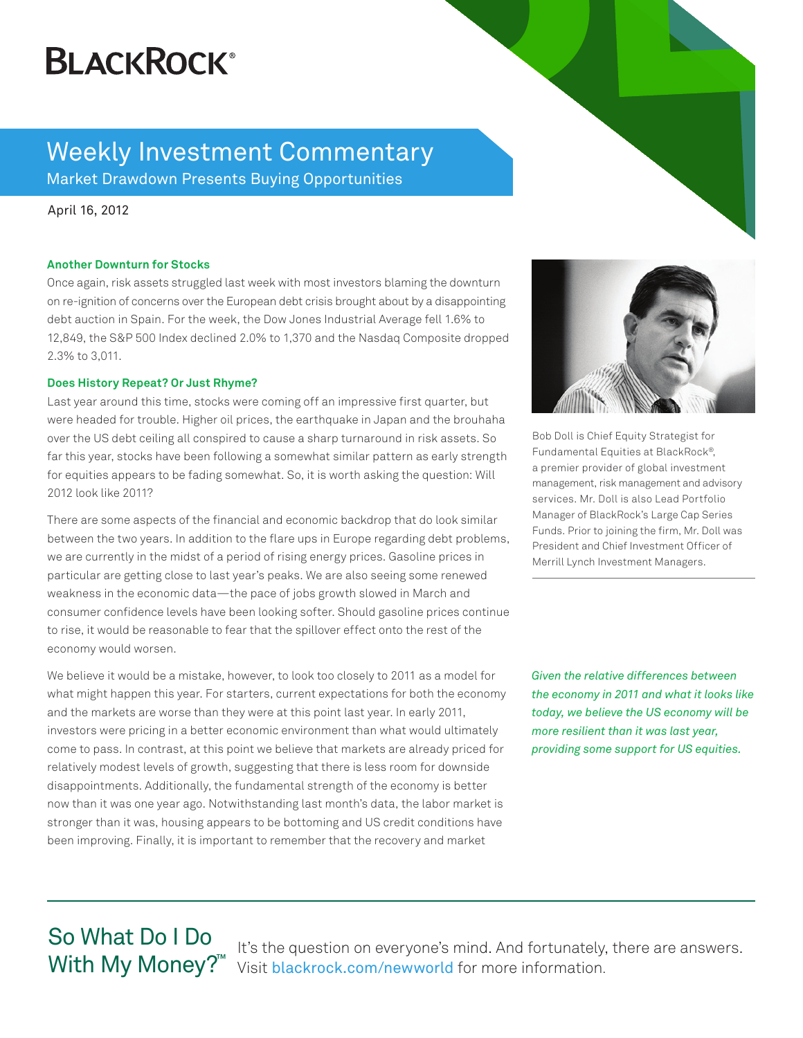# **BLACKROCK®**

### Weekly Investment Commentary Market Drawdown Presents Buying Opportunities

April 16, 2012

### **Another Downturn for Stocks**

Once again, risk assets struggled last week with most investors blaming the downturn on re-ignition of concerns over the European debt crisis brought about by a disappointing debt auction in Spain. For the week, the Dow Jones Industrial Average fell 1.6% to 12,849, the S&P 500 Index declined 2.0% to 1,370 and the Nasdaq Composite dropped 2.3% to 3,011.

### **Does History Repeat? Or Just Rhyme?**

Last year around this time, stocks were coming off an impressive first quarter, but were headed for trouble. Higher oil prices, the earthquake in Japan and the brouhaha over the US debt ceiling all conspired to cause a sharp turnaround in risk assets. So far this year, stocks have been following a somewhat similar pattern as early strength for equities appears to be fading somewhat. So, it is worth asking the question: Will 2012 look like 2011?

There are some aspects of the financial and economic backdrop that do look similar between the two years. In addition to the flare ups in Europe regarding debt problems, we are currently in the midst of a period of rising energy prices. Gasoline prices in particular are getting close to last year's peaks. We are also seeing some renewed weakness in the economic data—the pace of jobs growth slowed in March and consumer confidence levels have been looking softer. Should gasoline prices continue to rise, it would be reasonable to fear that the spillover effect onto the rest of the economy would worsen.

We believe it would be a mistake, however, to look too closely to 2011 as a model for what might happen this year. For starters, current expectations for both the economy and the markets are worse than they were at this point last year. In early 2011, investors were pricing in a better economic environment than what would ultimately come to pass. In contrast, at this point we believe that markets are already priced for relatively modest levels of growth, suggesting that there is less room for downside disappointments. Additionally, the fundamental strength of the economy is better now than it was one year ago. Notwithstanding last month's data, the labor market is stronger than it was, housing appears to be bottoming and US credit conditions have been improving. Finally, it is important to remember that the recovery and market



Bob Doll is Chief Equity Strategist for Fundamental Equities at BlackRock®, a premier provider of global investment management, risk management and advisory services. Mr. Doll is also Lead Portfolio Manager of BlackRock's Large Cap Series Funds. Prior to joining the firm, Mr. Doll was President and Chief Investment Officer of Merrill Lynch Investment Managers.

*Given the relative differences between the economy in 2011 and what it looks like today, we believe the US economy will be more resilient than it was last year, providing some support for US equities.*

## So What Do I Do With My Money?<sup>™</sup>

It's the question on everyone's mind. And fortunately, there are answers. Visit blackrock.com/newworld for more information.